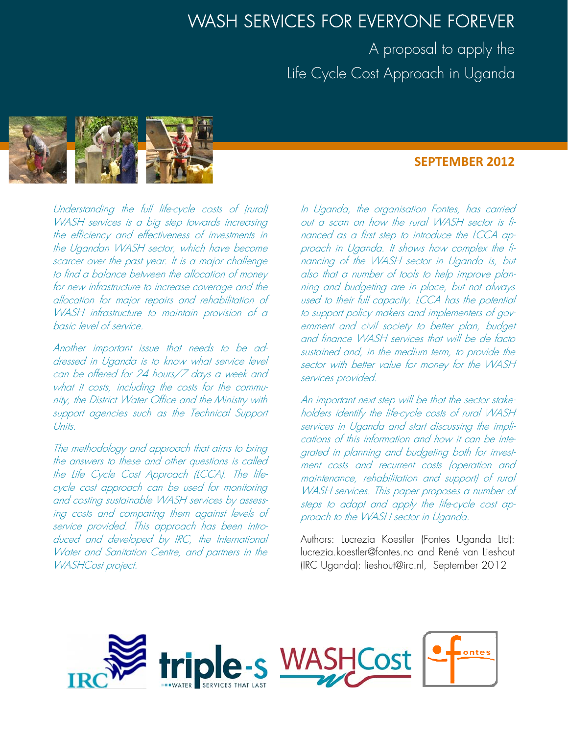# WASH SERVICES FOR EVERYONE FOREVER

A proposal to apply the Life Cycle Cost Approach in Uganda



# **SEPTEMBER 2012**

Understanding the full life-cycle costs of (rural) WASH services is a big step towards increasing the efficiency and effectiveness of investments in the Ugandan WASH sector, which have become scarcer over the past year. It is a major challenge to find a balance between the allocation of money for new infrastructure to increase coverage and the allocation for major repairs and rehabilitation of WASH infrastructure to maintain provision of a basic level of service.

Another important issue that needs to be addressed in Uganda is to know what service level can be offered for 24 hours/7 days a week and what it costs, including the costs for the community, the District Water Office and the Ministry with support agencies such as the Technical Support Units.

The methodology and approach that aims to bring the answers to these and other questions is called the Life Cycle Cost Approach (LCCA). The lifecycle cost approach can be used for monitoring and costing sustainable WASH services by assessing costs and comparing them against levels of service provided. This approach has been introduced and developed by IRC, the International Water and Sanitation Centre, and partners in the WASHCost project.

In Uganda, the organisation Fontes, has carried out a scan on how the rural WASH sector is financed as a first step to introduce the LCCA approach in Uganda. It shows how complex the financing of the WASH sector in Uganda is, but also that a number of tools to help improve planning and budgeting are in place, but not always used to their full capacity. LCCA has the potential to support policy makers and implementers of government and civil society to better plan, budget and finance WASH services that will be de facto sustained and, in the medium term, to provide the sector with better value for money for the WASH services provided.

An important next step will be that the sector stakeholders identify the life-cycle costs of rural WASH services in Uganda and start discussing the implications of this information and how it can be integrated in planning and budgeting both for investment costs and recurrent costs (operation and maintenance, rehabilitation and support) of rural WASH services. This paper proposes a number of steps to adapt and apply the life-cycle cost approach to the WASH sector in Uganda.

Authors: Lucrezia Koestler (Fontes Uganda Ltd): lucrezia.koestler@fontes.no and René van Lieshout (IRC Uganda): lieshout@irc.nl, September 2012

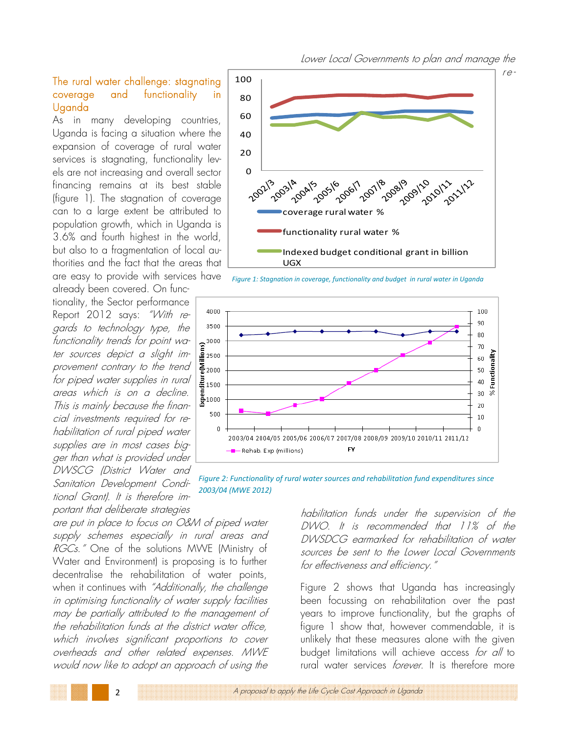### The rural water challenge: stagnating coverage and functionality in Uganda

As in many developing countries, Uganda is facing a situation where the expansion of coverage of rural water services is stagnating, functionality levels are not increasing and overall sector financing remains at its best stable (figure 1). The stagnation of coverage can to a large extent be attributed to population growth, which in Uganda is 3.6% and fourth highest in the world, but also to a fragmentation of local authorities and the fact that the areas that are easy to provide with services have

tionality, the Sector performance Report 2012 says: "With regards to technology type, the functionality trends for point water sources depict a slight improvement contrary to the trend for piped water supplies in rural areas which is on a decline. This is mainly because the financial investments required for rehabilitation of rural piped water supplies are in most cases bigger than what is provided under DWSCG (District Water and Sanitation Development Conditional Grant). It is therefore important that deliberate strategies

already been covered. On func-

are put in place to focus on O&M of piped water supply schemes especially in rural areas and *RGCs.*" One of the solutions MWE (Ministry of Water and Environment) is proposing is to further decentralise the rehabilitation of water points, when it continues with "Additionally, the challenge in optimising functionality of water supply facilities may be partially attributed to the management of the rehabilitation funds at the district water office, which involves significant proportions to cover overheads and other related expenses. MWE would now like to adopt an approach of using the

re-



*Figure 1: Stagnation in coverage, functionality and budget in rural water in Uganda*



*Figure 2: Functionality of rural water sources and rehabilitation fund expenditures since 2003/04 (MWE 2012)*

habilitation funds under the supervision of the DWO. It is recommended that 11% of the DWSDCG earmarked for rehabilitation of water sources be sent to the Lower Local Governments for effectiveness and efficiency."

Figure 2 shows that Uganda has increasingly been focussing on rehabilitation over the past years to improve functionality, but the graphs of figure 1 show that, however commendable, it is unlikely that these measures alone with the given budget limitations will achieve access for all to rural water services forever. It is therefore more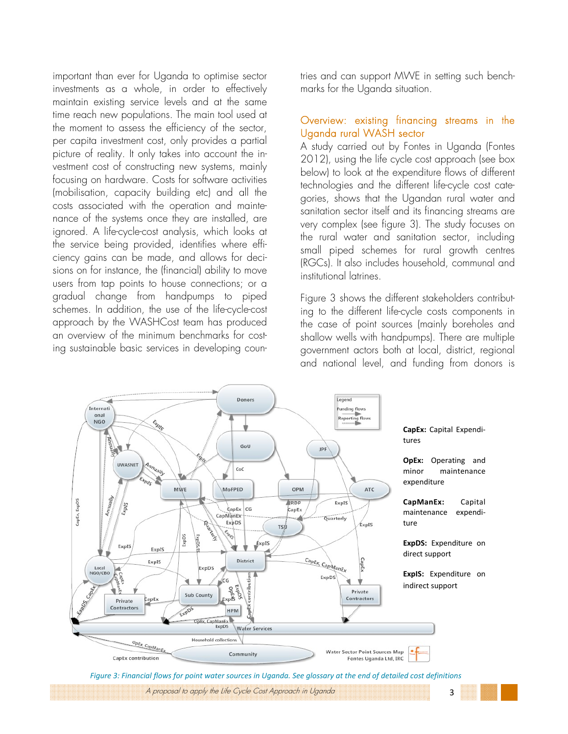important than ever for Uganda to optimise sector investments as a whole, in order to effectively maintain existing service levels and at the same time reach new populations. The main tool used at the moment to assess the efficiency of the sector, per capita investment cost, only provides a partial picture of reality. It only takes into account the investment cost of constructing new systems, mainly focusing on hardware. Costs for software activities (mobilisation, capacity building etc) and all the costs associated with the operation and maintenance of the systems once they are installed, are ignored. A life-cycle-cost analysis, which looks at the service being provided, identifies where efficiency gains can be made, and allows for decisions on for instance, the (financial) ability to move users from tap points to house connections; or a gradual change from handpumps to piped schemes. In addition, the use of the life-cycle-cost approach by the WASHCost team has produced an overview of the minimum benchmarks for costing sustainable basic services in developing countries and can support MWE in setting such benchmarks for the Uganda situation.

#### Overview: existing financing streams in the Uganda rural WASH sector

A study carried out by Fontes in Uganda (Fontes 2012), using the life cycle cost approach (see box below) to look at the expenditure flows of different technologies and the different life-cycle cost categories, shows that the Ugandan rural water and sanitation sector itself and its financing streams are very complex (see figure 3). The study focuses on the rural water and sanitation sector, including small piped schemes for rural growth centres (RGCs). It also includes household, communal and institutional latrines.

Figure 3 shows the different stakeholders contributing to the different life-cycle costs components in the case of point sources (mainly boreholes and shallow wells with handpumps). There are multiple government actors both at local, district, regional and national level, and funding from donors is



Figure 3: Financial flows for point water sources in Uganda. See glossary at the end of detailed cost definitions

A proposal to apply the Life Cycle Cost Approach in Uganda 33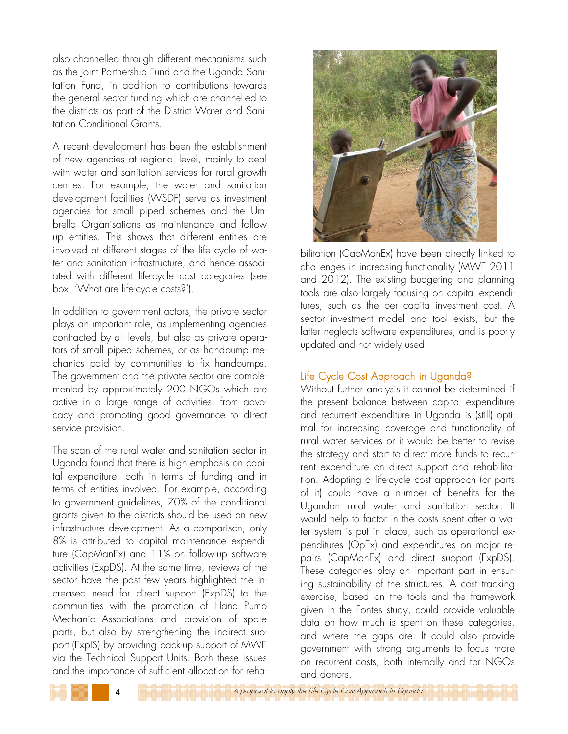also channelled through different mechanisms such as the Joint Partnership Fund and the Uganda Sanitation Fund, in addition to contributions towards the general sector funding which are channelled to the districts as part of the District Water and Sanitation Conditional Grants.

A recent development has been the establishment of new agencies at regional level, mainly to deal with water and sanitation services for rural growth centres. For example, the water and sanitation development facilities (WSDF) serve as investment agencies for small piped schemes and the Umbrella Organisations as maintenance and follow up entities. This shows that different entities are involved at different stages of the life cycle of water and sanitation infrastructure, and hence associated with different life-cycle cost categories (see box 'What are life-cycle costs?').

In addition to government actors, the private sector plays an important role, as implementing agencies contracted by all levels, but also as private operators of small piped schemes, or as handpump mechanics paid by communities to fix handpumps. The government and the private sector are complemented by approximately 200 NGOs which are active in a large range of activities; from advocacy and promoting good governance to direct service provision.

The scan of the rural water and sanitation sector in Uganda found that there is high emphasis on capital expenditure, both in terms of funding and in terms of entities involved. For example, according to government guidelines, 70% of the conditional grants given to the districts should be used on new infrastructure development. As a comparison, only 8% is attributed to capital maintenance expenditure (CapManEx) and 11% on follow-up software activities (ExpDS). At the same time, reviews of the sector have the past few years highlighted the increased need for direct support (ExpDS) to the communities with the promotion of Hand Pump Mechanic Associations and provision of spare parts, but also by strengthening the indirect support (ExpIS) by providing back-up support of MWE via the Technical Support Units. Both these issues and the importance of sufficient allocation for reha-



bilitation (CapManEx) have been directly linked to challenges in increasing functionality (MWE 2011 and 2012). The existing budgeting and planning tools are also largely focusing on capital expenditures, such as the per capita investment cost. A sector investment model and tool exists, but the latter neglects software expenditures, and is poorly updated and not widely used.

## Life Cycle Cost Approach in Uganda?

Without further analysis it cannot be determined if the present balance between capital expenditure and recurrent expenditure in Uganda is (still) optimal for increasing coverage and functionality of rural water services or it would be better to revise the strategy and start to direct more funds to recurrent expenditure on direct support and rehabilitation. Adopting a life-cycle cost approach (or parts of it) could have a number of benefits for the Ugandan rural water and sanitation sector. It would help to factor in the costs spent after a water system is put in place, such as operational expenditures (OpEx) and expenditures on major repairs (CapManEx) and direct support (ExpDS). These categories play an important part in ensuring sustainability of the structures. A cost tracking exercise, based on the tools and the framework given in the Fontes study, could provide valuable data on how much is spent on these categories, and where the gaps are. It could also provide government with strong arguments to focus more on recurrent costs, both internally and for NGOs and donors.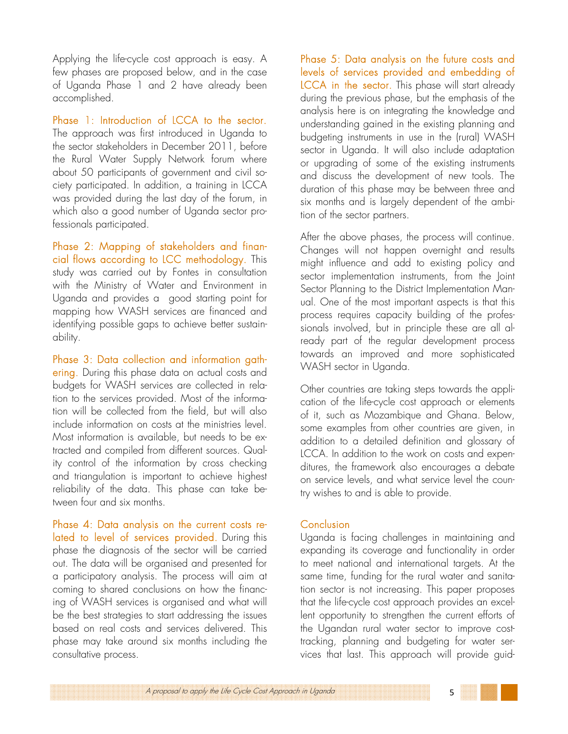Applying the life-cycle cost approach is easy. A few phases are proposed below, and in the case of Uganda Phase 1 and 2 have already been accomplished.

Phase 1: Introduction of LCCA to the sector. The approach was first introduced in Uganda to the sector stakeholders in December 2011, before the Rural Water Supply Network forum where about 50 participants of government and civil society participated. In addition, a training in LCCA was provided during the last day of the forum, in which also a good number of Uganda sector professionals participated.

Phase 2: Mapping of stakeholders and financial flows according to LCC methodology. This study was carried out by Fontes in consultation with the Ministry of Water and Environment in Uganda and provides a good starting point for mapping how WASH services are financed and identifying possible gaps to achieve better sustainability.

Phase 3: Data collection and information gathering. During this phase data on actual costs and budgets for WASH services are collected in relation to the services provided. Most of the information will be collected from the field, but will also include information on costs at the ministries level. Most information is available, but needs to be extracted and compiled from different sources. Quality control of the information by cross checking and triangulation is important to achieve highest reliability of the data. This phase can take between four and six months.

Phase 4: Data analysis on the current costs related to level of services provided. During this phase the diagnosis of the sector will be carried out. The data will be organised and presented for a participatory analysis. The process will aim at coming to shared conclusions on how the financing of WASH services is organised and what will be the best strategies to start addressing the issues based on real costs and services delivered. This phase may take around six months including the consultative process.

Phase 5: Data analysis on the future costs and levels of services provided and embedding of LCCA in the sector. This phase will start already during the previous phase, but the emphasis of the analysis here is on integrating the knowledge and understanding gained in the existing planning and budgeting instruments in use in the (rural) WASH sector in Uganda. It will also include adaptation or upgrading of some of the existing instruments and discuss the development of new tools. The duration of this phase may be between three and six months and is largely dependent of the ambition of the sector partners.

After the above phases, the process will continue. Changes will not happen overnight and results might influence and add to existing policy and sector implementation instruments, from the Joint Sector Planning to the District Implementation Manual. One of the most important aspects is that this process requires capacity building of the professionals involved, but in principle these are all already part of the regular development process towards an improved and more sophisticated WASH sector in Uganda.

Other countries are taking steps towards the application of the life-cycle cost approach or elements of it, such as Mozambique and Ghana. Below, some examples from other countries are given, in addition to a detailed definition and glossary of LCCA. In addition to the work on costs and expenditures, the framework also encourages a debate on service levels, and what service level the country wishes to and is able to provide.

#### Conclusion

Uganda is facing challenges in maintaining and expanding its coverage and functionality in order to meet national and international targets. At the same time, funding for the rural water and sanitation sector is not increasing. This paper proposes that the life-cycle cost approach provides an excellent opportunity to strengthen the current efforts of the Ugandan rural water sector to improve costtracking, planning and budgeting for water services that last. This approach will provide guid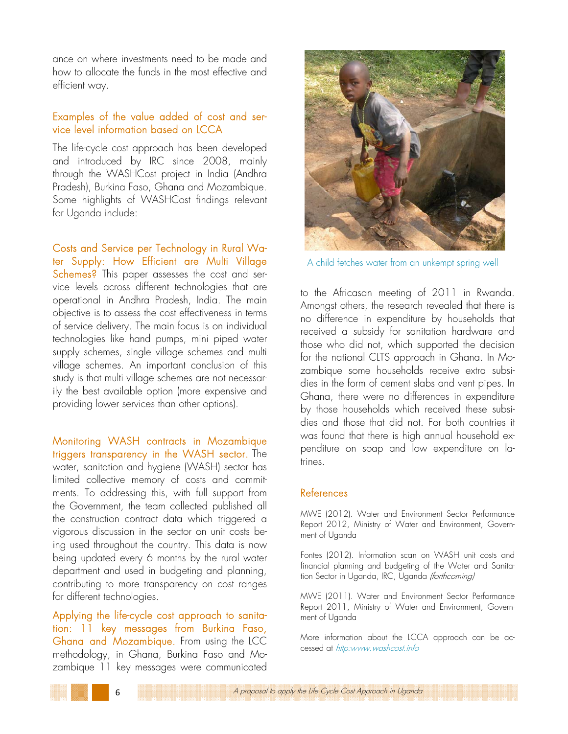ance on where investments need to be made and how to allocate the funds in the most effective and efficient way.

#### Examples of the value added of cost and service level information based on LCCA

The life-cycle cost approach has been developed and introduced by IRC since 2008, mainly through the WASHCost project in India (Andhra Pradesh), Burkina Faso, Ghana and Mozambique. Some highlights of WASHCost findings relevant for Uganda include:

Costs and Service per Technology in Rural Water Supply: How Efficient are Multi Village Schemes? This paper assesses the cost and service levels across different technologies that are operational in Andhra Pradesh, India. The main objective is to assess the cost effectiveness in terms of service delivery. The main focus is on individual technologies like hand pumps, mini piped water supply schemes, single village schemes and multi village schemes. An important conclusion of this study is that multi village schemes are not necessarily the best available option (more expensive and providing lower services than other options).

Monitoring WASH contracts in Mozambique triggers transparency in the WASH sector. The water, sanitation and hygiene (WASH) sector has limited collective memory of costs and commitments. To addressing this, with full support from the Government, the team collected published all the construction contract data which triggered a vigorous discussion in the sector on unit costs being used throughout the country. This data is now being updated every 6 months by the rural water department and used in budgeting and planning, contributing to more transparency on cost ranges for different technologies.

Applying the life-cycle cost approach to sanitation: 11 key messages from Burkina Faso, Ghana and Mozambique. From using the LCC methodology, in Ghana, Burkina Faso and Mozambique 11 key messages were communicated



A child fetches water from an unkempt spring well

to the Africasan meeting of 2011 in Rwanda. Amongst others, the research revealed that there is no difference in expenditure by households that received a subsidy for sanitation hardware and those who did not, which supported the decision for the national CLTS approach in Ghana. In Mozambique some households receive extra subsidies in the form of cement slabs and vent pipes. In Ghana, there were no differences in expenditure by those households which received these subsidies and those that did not. For both countries it was found that there is high annual household expenditure on soap and low expenditure on latrines.

#### References

MWE (2012). Water and Environment Sector Performance Report 2012, Ministry of Water and Environment, Government of Uganda

Fontes (2012). Information scan on WASH unit costs and financial planning and budgeting of the Water and Sanitation Sector in Uganda, IRC, Uganda (forthcoming)

MWE (2011). Water and Environment Sector Performance Report 2011, Ministry of Water and Environment, Government of Uganda

More information about the LCCA approach can be accessed at http:www.washcost.info